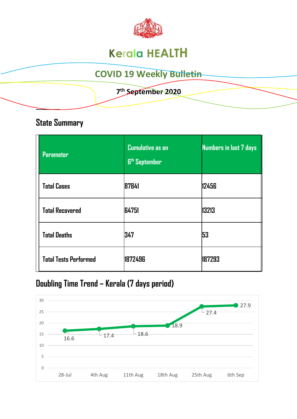

# **Kerala HEALTH**

# **COVID 19 Weekly Bulletin**

#### **7 th September 2020**

### **State Summary**

**\_\_\_\_\_\_\_\_** 

| <b>Parameter</b>             | <b>Cumulative as on</b><br><b>6th September</b> | <b>Numbers in last 7 days</b> |
|------------------------------|-------------------------------------------------|-------------------------------|
| <b>Total Cases</b>           | 87841                                           | 12456                         |
| <b>Total Recovered</b>       | 64751                                           | 13213                         |
| <b>Total Deaths</b>          | 347                                             | 53                            |
| <b>Total Tests Performed</b> | 1872496                                         | 187293                        |

# **Doubling Time Trend – Kerala (7 days period)**

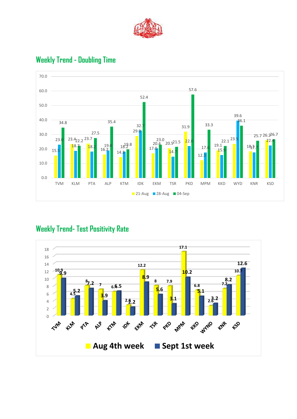



### **Weekly Trend - Doubling Time**

### **Weekly Trend- Test Positivity Rate**

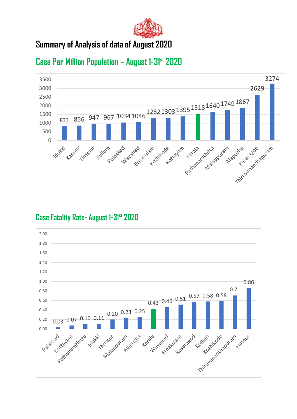

### **Summary of Analysis of data of August 2020**



### **Case Per Million Population – August 1-31st 2020**

#### **Case Fatality Rate- August 1-31st 2020**

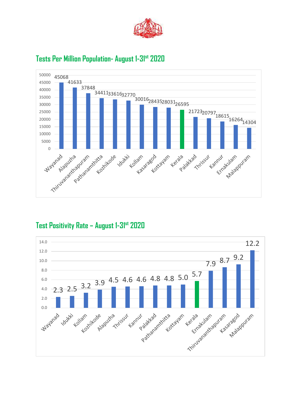



#### **Tests Per Million Population- August 1-31st 2020**

#### **Test Positivity Rate – August 1-31st 2020**